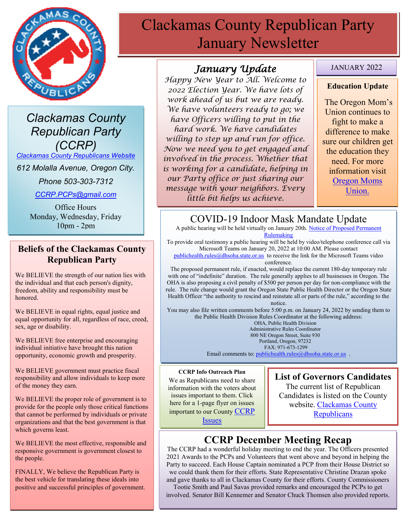

*Clackamas County Republican Party (CCRP)*

*[Clackamas County Republicans Website](https://www.clackamascountyrepublicans.org/)*

*612 Molalla Avenue, Oregon City.* 

*Phone 503-303-7312*

*[CCRP.PCPs@gmail.com](mailto:CCRP.PCPs@gmail.com)*

Office Hours Monday, Wednesday, Friday 10pm - 2pm

#### **Beliefs of the Clackamas County Republican Party**

We BELIEVE the strength of our nation lies with the individual and that each person's dignity, freedom, ability and responsibility must be honored.

We BELIEVE in equal rights, equal justice and equal opportunity for all, regardless of race, creed, sex, age or disability.

We BELIEVE free enterprise and encouraging individual initiative have brought this nation opportunity, economic growth and prosperity.

We BELIEVE government must practice fiscal responsibility and allow individuals to keep more of the money they earn.

We BELIEVE the proper role of government is to provide for the people only those critical functions that cannot be performed by individuals or private organizations and that the best government is that which governs least.

We BELIEVE the most effective, responsible and responsive government is government closest to the people.

FINALLY, We believe the Republican Party is the best vehicle for translating these ideals into positive and successful principles of government.

# Clackamas County Republican Party January Newsletter

#### *January Update*

*Happy New Year to All. Welcome to 2022 Election Year. We have lots of work ahead of us but we are ready. We have volunteers ready to go; we have Officers willing to put in the hard work. We have candidates willing to step up and run for office. Now we need you to get engaged and involved in the process. Whether that is working for a candidate, helping in our Party office or just sharing our message with your neighbors. Every little bit helps us achieve.* 

#### JANUARY 2022

#### **Education Update**

The Oregon Mom's Union continues to fight to make a difference to make sure our children get the education they need. For more information visit Oregon Moms Union.

# COVID-19 Indoor Mask Mandate Update

A public hearing will be held virtually on January 20th[. Notice of Proposed Permanent](https://www.oregon.gov/oha/PH/DISEASESCONDITIONS/COMMUNICABLEDISEASE/REPORTINGCOMMUNICABLEDISEASE/Documents/rules/2021/5%20rules/333-019-1025-Indoor-Masks-Notice%20of%20Proposed%20Rulemaking.pdf)  **[Rulemaking](https://www.oregon.gov/oha/PH/DISEASESCONDITIONS/COMMUNICABLEDISEASE/REPORTINGCOMMUNICABLEDISEASE/Documents/rules/2021/5%20rules/333-019-1025-Indoor-Masks-Notice%20of%20Proposed%20Rulemaking.pdf)** 

To provide oral testimony a public hearing will be held by video/telephone conference call via Microsoft Teams on January 20, 2022 at 10:00 AM. Please contact

[publichealth.rules@dhsoha.state.or.us](mailto:publichealth.rules@dhsoha.state.or.us) to receive the link for the Microsoft Teams video conference.

The proposed permanent rule, if enacted, would replace the current 180-day temporary rule with one of "indefinite" duration. The rule generally applies to all businesses in Oregon. The OHA is also proposing a civil penalty of \$500 per person per day for non-compliance with the rule. The rule change would grant the Oregon State Public Health Director or the Oregon State Health Officer "the authority to rescind and reinstate all or parts of the rule," according to the notice.

You may also file written comments before 5:00 p.m. on January 24, 2022 by sending them to the Public Health Division Rules Coordinator at the following address:

> OHA, Public Health Division Administrative Rules Coordinator 800 NE Oregon Street, Suite 930 Portland, Oregon, 97232 FAX: 971-673-1299 Email comments to: [publichealth.rules@dhsoha.state.or.us](mailto:publichealth.rules@dhsoha.state.or.us) .

#### **CCRP Info Outreach Plan**

We as Republicans need to share information with the voters about issues important to them. Click here for a 1-page flyer on issues important to our County [CCRP](https://www.clackamascountyrepublicans.org/wp-content/uploads/2021/09/CCRP-Outreach.pdf)  **[Issues](https://www.clackamascountyrepublicans.org/wp-content/uploads/2021/09/CCRP-Outreach.pdf)** 

#### **List of Governors Candidates**

The current list of Republican Candidates is listed on the County website. [Clackamas County](https://www.clackamascountyrepublicans.org/)  **[Republicans](https://www.clackamascountyrepublicans.org/)** 

### **CCRP December Meeting Recap**

The CCRP had a wonderful holiday meeting to end the year. The Officers presented 2021 Awards to the PCPs and Volunteers that went above and beyond in helping the Party to succeed. Each House Captain nominated a PCP from their House District so we could thank them for their efforts. State Representative Christine Drazan spoke and gave thanks to all in Clackamas County for their efforts. County Commissioners

Tootie Smith and Paul Savas provided remarks and encouraged the PCPs to get involved. Senator Bill Kennemer and Senator Chuck Thomsen also provided reports.